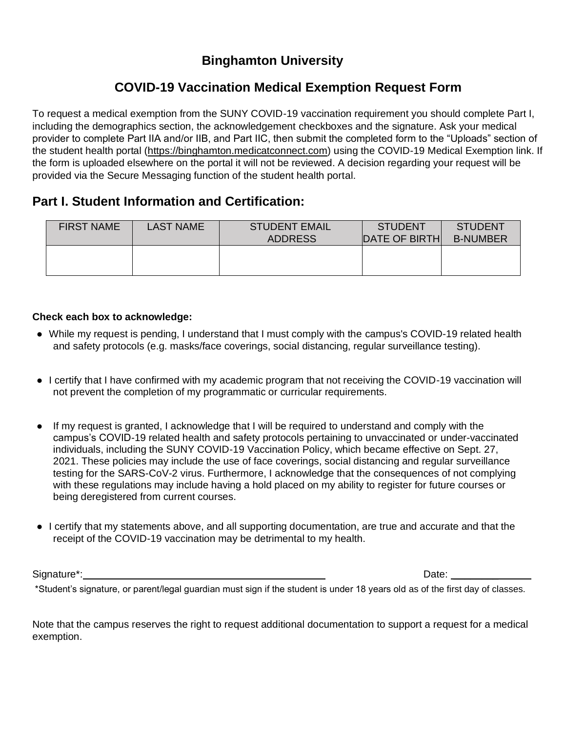## **Binghamton University**

# **COVID-19 Vaccination Medical Exemption Request Form**

To request a medical exemption from the SUNY COVID-19 vaccination requirement you should complete Part I, including the demographics section, the acknowledgement checkboxes and the signature. Ask your medical provider to complete Part IIA and/or IIB, and Part IIC, then submit the completed form to the "Uploads" section of the student health portal [\(https://binghamton.medicatconnect.com\)](https://binghamton.medicatconnect.com/) using the COVID-19 Medical Exemption link. If the form is uploaded elsewhere on the portal it will not be reviewed. A decision regarding your request will be provided via the Secure Messaging function of the student health portal.

### **Part I. Student Information and Certification:**

| <b>FIRST NAME</b> | <b>LAST NAME</b> | <b>STUDENT EMAIL</b><br><b>ADDRESS</b> | <b>STUDENT</b><br><b>IDATE OF BIRTHI</b> | <b>STUDENT</b><br><b>B-NUMBER</b> |
|-------------------|------------------|----------------------------------------|------------------------------------------|-----------------------------------|
|                   |                  |                                        |                                          |                                   |

#### **Check each box to acknowledge:**

- While my request is pending, I understand that I must comply with the campus's COVID-19 related health and safety protocols (e.g. masks/face coverings, social distancing, regular surveillance testing).
- I certify that I have confirmed with my academic program that not receiving the COVID-19 vaccination will not prevent the completion of my programmatic or curricular requirements.
- If my request is granted, I acknowledge that I will be required to understand and comply with the campus's COVID-19 related health and safety protocols pertaining to unvaccinated or under-vaccinated individuals, including the SUNY COVID-19 Vaccination Policy, which became effective on Sept. 27, 2021. These policies may include the use of face coverings, social distancing and regular surveillance testing for the SARS-CoV-2 virus. Furthermore, I acknowledge that the consequences of not complying with these regulations may include having a hold placed on my ability to register for future courses or being deregistered from current courses.
- I certify that my statements above, and all supporting documentation, are true and accurate and that the receipt of the COVID-19 vaccination may be detrimental to my health.

Signature\*: Date:  $\Box$ 

\*Student's signature, or parent/legal guardian must sign if the student is under 18 years old as of the first day of classes.

Note that the campus reserves the right to request additional documentation to support a request for a medical exemption.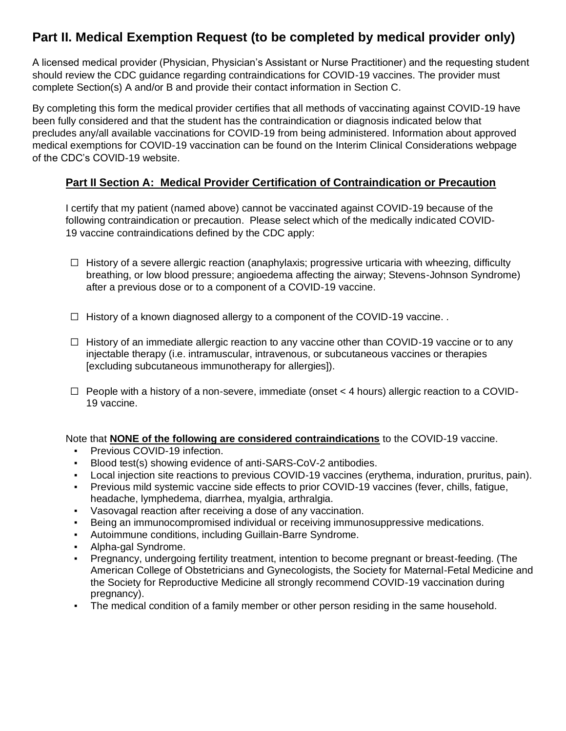## **Part II. Medical Exemption Request (to be completed by medical provider only)**

A licensed medical provider (Physician, Physician's Assistant or Nurse Practitioner) and the requesting student should review the CDC guidance regarding contraindications for COVID-19 vaccines. The provider must complete Section(s) A and/or B and provide their contact information in Section C.

By completing this form the medical provider certifies that all methods of vaccinating against COVID-19 have been fully considered and that the student has the contraindication or diagnosis indicated below that precludes any/all available vaccinations for COVID-19 from being administered. Information about approved medical exemptions for COVID-19 vaccination can be found on the Interim Clinical Considerations webpage of the CDC's COVID-19 website.

#### **Part II Section A: Medical Provider Certification of Contraindication or Precaution**

I certify that my patient (named above) cannot be vaccinated against COVID-19 because of the following contraindication or precaution. Please select which of the medically indicated COVID-19 vaccine contraindications defined by the CDC apply:

- $\Box$  History of a severe allergic reaction (anaphylaxis; progressive urticaria with wheezing, difficulty breathing, or low blood pressure; angioedema affecting the airway; Stevens-Johnson Syndrome) after a previous dose or to a component of a COVID-19 vaccine.
- $\Box$  History of a known diagnosed allergy to a component of the COVID-19 vaccine.
- $\Box$  History of an immediate allergic reaction to any vaccine other than COVID-19 vaccine or to any injectable therapy (i.e. intramuscular, intravenous, or subcutaneous vaccines or therapies [excluding subcutaneous immunotherapy for allergies]).
- $\Box$  People with a history of a non-severe, immediate (onset  $\lt$  4 hours) allergic reaction to a COVID-19 vaccine.

Note that **NONE of the following are considered contraindications** to the COVID-19 vaccine.

- Previous COVID-19 infection.
- Blood test(s) showing evidence of anti-SARS-CoV-2 antibodies.
- Local injection site reactions to previous COVID-19 vaccines (erythema, induration, pruritus, pain).
- Previous mild systemic vaccine side effects to prior COVID-19 vaccines (fever, chills, fatigue, headache, lymphedema, diarrhea, myalgia, arthralgia.
- Vasovagal reaction after receiving a dose of any vaccination.
- **Being an immunocompromised individual or receiving immunosuppressive medications.**
- Autoimmune conditions, including Guillain-Barre Syndrome.
- Alpha-gal Syndrome.
- Pregnancy, undergoing fertility treatment, intention to become pregnant or breast-feeding. (The American College of Obstetricians and Gynecologists, the Society for Maternal-Fetal Medicine and the Society for Reproductive Medicine all strongly recommend COVID-19 vaccination during pregnancy).
- The medical condition of a family member or other person residing in the same household.